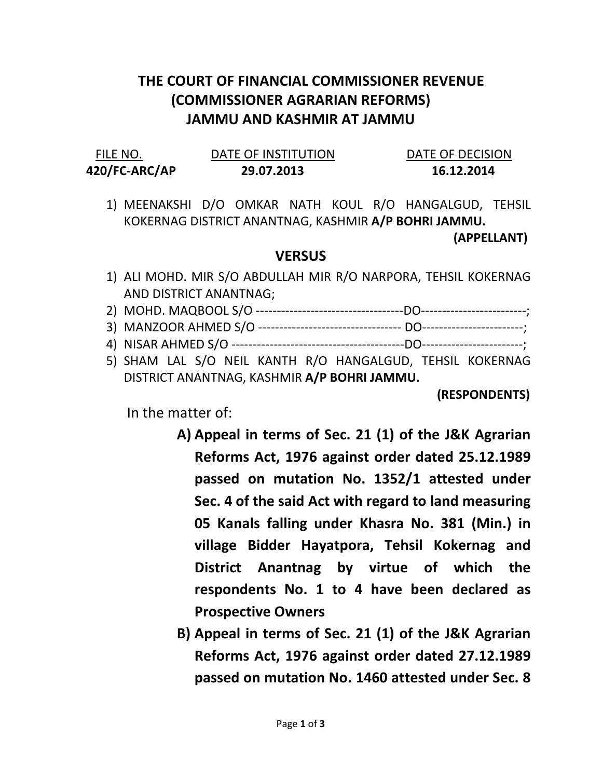## THE COURT OF FINANCIAL COMMISSIONER REVENUE (COMMISSIONER AGRARIAN REFORMS) JAMMU AND KASHMIR AT JAMMU

| FILE NO.      | DATE OF INSTITUTION | DATE OF DECISION |
|---------------|---------------------|------------------|
| 420/FC-ARC/AP | 29.07.2013          | 16.12.2014       |

1) MEENAKSHI D/O OMKAR NATH KOUL R/O HANGALGUD, TEHSIL KOKERNAG DISTRICT ANANTNAG, KASHMIR A/P BOHRI JAMMU.

(APPELLANT)

## **VERSUS**

- 1) ALI MOHD. MIR S/O ABDULLAH MIR R/O NARPORA, TEHSIL KOKERNAG AND DISTRICT ANANTNAG;
- 2) MOHD. MAQBOOL S/O -----------------------------------DO-------------------------;
- 3) MANZOOR AHMED S/O ---------------------------------- DO------------------------;
- 4) NISAR AHMED S/O -----------------------------------------DO------------------------;
- 5) SHAM LAL S/O NEIL KANTH R/O HANGALGUD, TEHSIL KOKERNAG DISTRICT ANANTNAG, KASHMIR A/P BOHRI JAMMU.

(RESPONDENTS)

In the matter of:

- A) Appeal in terms of Sec. 21 (1) of the J&K Agrarian Reforms Act, 1976 against order dated 25.12.1989 passed on mutation No. 1352/1 attested under Sec. 4 of the said Act with regard to land measuring 05 Kanals falling under Khasra No. 381 (Min.) in village Bidder Hayatpora, Tehsil Kokernag and District Anantnag by virtue of which the respondents No. 1 to 4 have been declared as Prospective Owners
- B) Appeal in terms of Sec. 21 (1) of the J&K Agrarian Reforms Act, 1976 against order dated 27.12.1989 passed on mutation No. 1460 attested under Sec. 8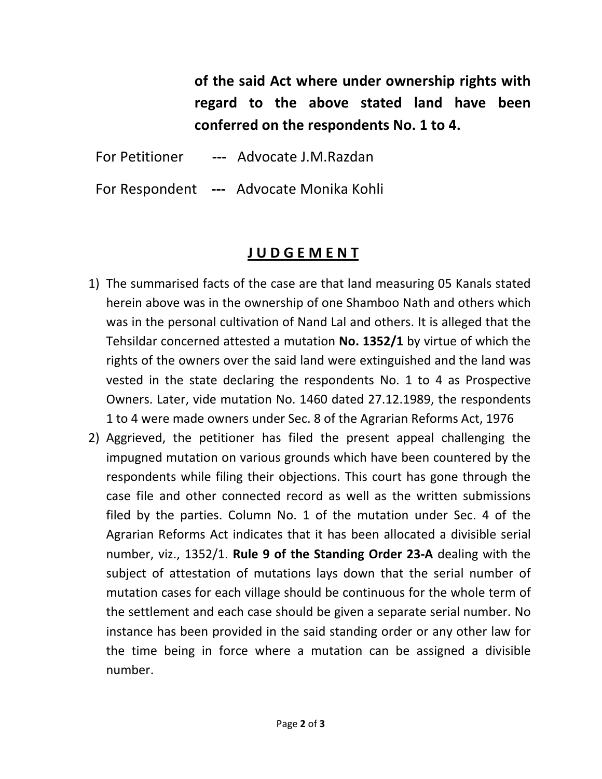of the said Act where under ownership rights with regard to the above stated land have been conferred on the respondents No. 1 to 4.

For Petitioner --- Advocate J.M.Razdan

For Respondent --- Advocate Monika Kohli

## J U D G E M E N T

- 1) The summarised facts of the case are that land measuring 05 Kanals stated herein above was in the ownership of one Shamboo Nath and others which was in the personal cultivation of Nand Lal and others. It is alleged that the Tehsildar concerned attested a mutation No. 1352/1 by virtue of which the rights of the owners over the said land were extinguished and the land was vested in the state declaring the respondents No. 1 to 4 as Prospective Owners. Later, vide mutation No. 1460 dated 27.12.1989, the respondents 1 to 4 were made owners under Sec. 8 of the Agrarian Reforms Act, 1976
- 2) Aggrieved, the petitioner has filed the present appeal challenging the impugned mutation on various grounds which have been countered by the respondents while filing their objections. This court has gone through the case file and other connected record as well as the written submissions filed by the parties. Column No. 1 of the mutation under Sec. 4 of the Agrarian Reforms Act indicates that it has been allocated a divisible serial number, viz., 1352/1. Rule 9 of the Standing Order 23-A dealing with the subject of attestation of mutations lays down that the serial number of mutation cases for each village should be continuous for the whole term of the settlement and each case should be given a separate serial number. No instance has been provided in the said standing order or any other law for the time being in force where a mutation can be assigned a divisible number.